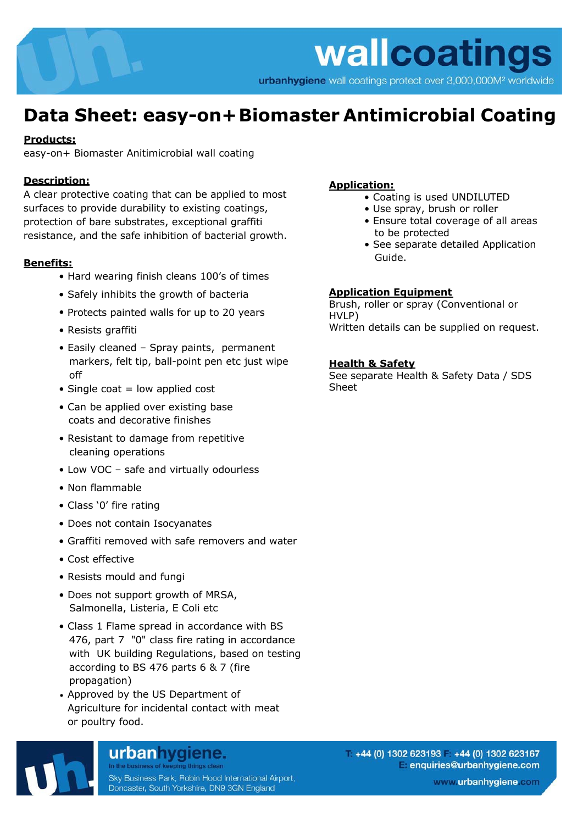urbanhygiene wall coatings protect over 3,000,000M<sup>2</sup> worldwide

## **Data Sheet: easy-on+ Biomaster Antimicrobial Coating**

#### **Products:**

easy-on+ Biomaster Anitimicrobial wall coating

#### **Description:**

A clear protective coating that can be applied to most surfaces to provide durability to existing coatings, protection of bare substrates, exceptional graffiti resistance, and the safe inhibition of bacterial growth.

#### **Benefits:**

- Hard wearing finish cleans 100's of times
- Safely inhibits the growth of bacteria
- Protects painted walls for up to 20 years
- Resists graffiti
- Easily cleaned Spray paints, permanent markers, felt tip, ball-point pen etc just wipe off
- $\bullet$  Single coat = low applied cost
- Can be applied over existing base coats and decorative finishes
- Resistant to damage from repetitive cleaning operations
- Low VOC safe and virtually odourless
- Non flammable
- Class '0' fire rating
- Does not contain Isocyanates
- Graffiti removed with safe removers and water
- Cost effective
- Resists mould and fungi
- Does not support growth of MRSA, Salmonella, Listeria, E Coli etc
- Class 1 Flame spread in accordance with BS 476, part 7 "0" class fire rating in accordance with UK building Regulations, based on testing according to BS 476 parts 6 & 7 (fire propagation)
- Approved by the US Department of Agriculture for incidental contact with meat or poultry food.

urbanhygiene.

### **Application:**

- Coating is used UNDILUTED
- Use spray, brush or roller
- Ensure total coverage of all areas to be protected
- See separate detailed Application Guide.

#### **Application Equipment**

Brush, roller or spray (Conventional or HVLP) Written details can be supplied on request.

#### **Health & Safety**

See separate Health & Safety Data / SDS Sheet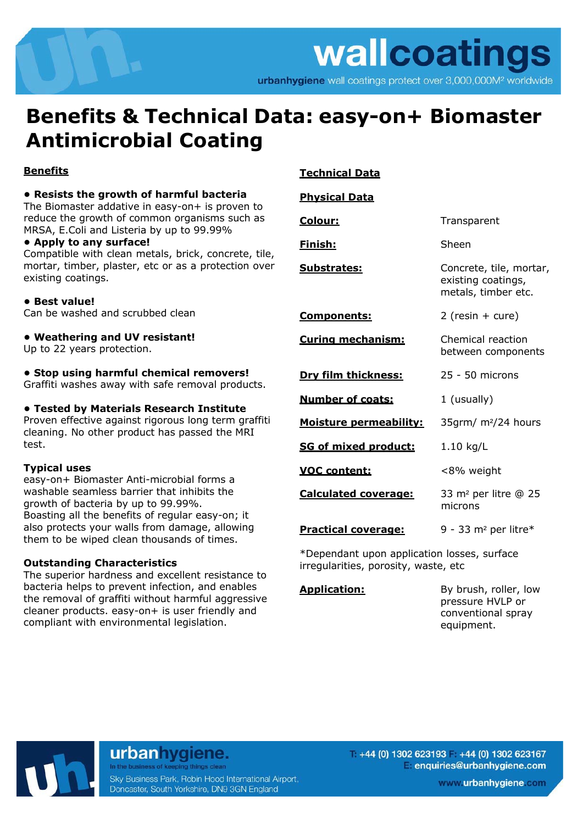urbanhygiene wall coatings protect over 3,000,000M<sup>2</sup> worldwide

## **Benefits & Technical Data: easy-on+ Biomaster Antimicrobial Coating**

#### **Benefits**

#### **• Resists the growth of harmful bacteria**

The Biomaster addative in easy-on+ is proven to reduce the growth of common organisms such as MRSA, E.Coli and Listeria by up to 99.99%

#### **• Apply to any surface!**

Compatible with clean metals, brick, concrete, tile, mortar, timber, plaster, etc or as a protection over existing coatings.

#### **• Best value!**

Can be washed and scrubbed clean

#### **• Weathering and UV resistant!**

Up to 22 years protection.

#### **• Stop using harmful chemical removers!**

Graffiti washes away with safe removal products.

#### **• Tested by Materials Research Institute**

Proven effective against rigorous long term graffiti cleaning. No other product has passed the MRI test.

#### **Typical uses**

easy-on+ Biomaster Anti-microbial forms a washable seamless barrier that inhibits the growth of bacteria by up to 99.99%. Boasting all the benefits of regular easy-on; it also protects your walls from damage, allowing them to be wiped clean thousands of times.

#### **Outstanding Characteristics**

The superior hardness and excellent resistance to bacteria helps to prevent infection, and enables the removal of graffiti without harmful aggressive cleaner products. easy-on+ is user friendly and compliant with environmental legislation.

#### **Technical Data**

#### **Physical Data**

| Colour:                                    | Transparent                                                          |  |
|--------------------------------------------|----------------------------------------------------------------------|--|
| <u>Finish:</u>                             | Sheen                                                                |  |
| <b>Substrates:</b>                         | Concrete, tile, mortar,<br>existing coatings,<br>metals, timber etc. |  |
| <u>Components:</u>                         | $2$ (resin + cure)                                                   |  |
| Curing mechanism:                          | Chemical reaction<br>between components                              |  |
| Dry film thickness:                        | 25 - 50 microns                                                      |  |
| <b>Number of coats:</b>                    | 1 (usually)                                                          |  |
| <b>Moisture permeability:</b>              | 35qrm/ m <sup>2</sup> /24 hours                                      |  |
| SG of mixed product:                       | $1.10$ kg/L                                                          |  |
| <b>VOC content:</b>                        | <8% weight                                                           |  |
| <b>Calculated coverage:</b>                | 33 m <sup>2</sup> per litre @ 25<br>microns                          |  |
| <b>Practical coverage:</b>                 | 9 - 33 m <sup>2</sup> per litre*                                     |  |
| *Denendant unon annlication losses surface |                                                                      |  |

\*Dependant upon application losses, surface irregularities, porosity, waste, etc

**Application:** By brush, roller, low pressure HVLP or conventional spray equipment.



urbanhygiene.

Sky Business Park, Robin Hood International Airport, Doncaster, South Yorkshire, DN9 3GN England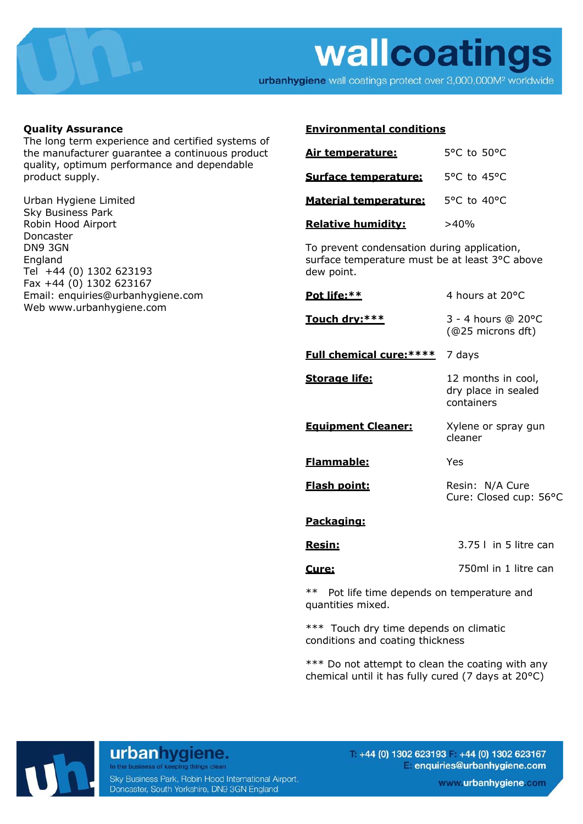

urbanhygiene wall coatings protect over 3,000,000M<sup>2</sup> worldwide

#### **Quality Assurance**

The long term experience and certified systems of the manufacturer guarantee a continuous product quality, optimum performance and dependable product supply.

Urban Hygiene Limited Sky Business Park Robin Hood Airport Doncaster DN9 3GN England Tel +44 (0) 1302 623193 Fax +44 (0) 1302 623167 Email: enquiries@urbanhygiene.com Web www.urbanhygiene.com

#### **Environmental conditions**

| Air temperature:             | $5^{\circ}$ C to $50^{\circ}$ C  |
|------------------------------|----------------------------------|
| Surface temperature:         | $5^{\circ}$ C to 45 $^{\circ}$ C |
| <b>Material temperature:</b> | $5^{\circ}$ C to 40 $^{\circ}$ C |
| <b>Relative humidity:</b>    | >40%                             |

To prevent condensation during application, surface temperature must be at least 3°C above dew point.

| <u>Pot life:**</u>              | 4 hours at 20°C                                         |
|---------------------------------|---------------------------------------------------------|
| Touch drv:***                   | 3 - 4 hours @ 20°C<br>(@25 microns dft)                 |
| <b>Full chemical cure: ****</b> | 7 days                                                  |
| <b>Storage life:</b>            | 12 months in cool,<br>dry place in sealed<br>containers |
| <b>Equipment Cleaner:</b>       | Xylene or spray gun<br>cleaner                          |
| <b>Flammable:</b>               | Yes                                                     |
| <b>Flash point:</b>             | Resin: N/A Cure<br>Cure: Closed cup: 56°C               |
| <u>Packaging:</u>               |                                                         |
| <u>Resin:</u>                   | $3.75$   in 5 litre can                                 |
| <u>Cure:</u>                    | 750ml in 1 litre can                                    |
|                                 |                                                         |

\*\* Pot life time depends on temperature and quantities mixed.

\*\*\* Touch dry time depends on climatic conditions and coating thickness

\*\*\* Do not attempt to clean the coating with any chemical until it has fully cured (7 days at 20°C)



#### urbanhygiene. In the business of keeping things clean

Sky Business Park, Robin Hood International Airport, Doncaster, South Yorkshire, DN9 3GN England